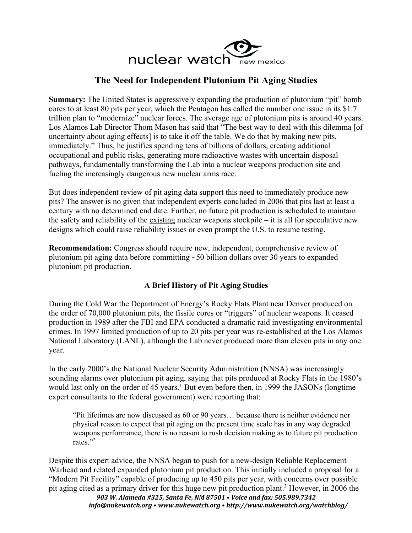

## **The Need for Independent Plutonium Pit Aging Studies**

**Summary:** The United States is aggressively expanding the production of plutonium "pit" bomb cores to at least 80 pits per year, which the Pentagon has called the number one issue in its \$1.7 trillion plan to "modernize" nuclear forces. The average age of plutonium pits is around 40 years. Los Alamos Lab Director Thom Mason has said that "The best way to deal with this dilemma [of uncertainty about aging effects] is to take it off the table. We do that by making new pits, immediately." Thus, he justifies spending tens of billions of dollars, creating additional occupational and public risks, generating more radioactive wastes with uncertain disposal pathways, fundamentally transforming the Lab into a nuclear weapons production site and fueling the increasingly dangerous new nuclear arms race.

But does independent review of pit aging data support this need to immediately produce new pits? The answer is no given that independent experts concluded in 2006 that pits last at least a century with no determined end date. Further, no future pit production is scheduled to maintain the safety and reliability of the existing nuclear weapons stockpile – it is all for speculative new designs which could raise reliability issues or even prompt the U.S. to resume testing.

**Recommendation:** Congress should require new, independent, comprehensive review of plutonium pit aging data before committing ~50 billion dollars over 30 years to expanded plutonium pit production.

## **A Brief History of Pit Aging Studies**

During the Cold War the Department of Energy's Rocky Flats Plant near Denver produced on the order of 70,000 plutonium pits, the fissile cores or "triggers" of nuclear weapons. It ceased production in 1989 after the FBI and EPA conducted a dramatic raid investigating environmental crimes. In 1997 limited production of up to 20 pits per year was re-established at the Los Alamos National Laboratory (LANL), although the Lab never produced more than eleven pits in any one year.

In the early 2000's the National Nuclear Security Administration (NNSA) was increasingly sounding alarms over plutonium pit aging, saying that pits produced at Rocky Flats in the 1980's would last only on the order of 45 years.<sup>1</sup> But even before then, in 1999 the JASONs (longtime expert consultants to the federal government) were reporting that:

"Pit lifetimes are now discussed as 60 or 90 years… because there is neither evidence nor physical reason to expect that pit aging on the present time scale has in any way degraded weapons performance, there is no reason to rush decision making as to future pit production rates."2

*903 W. Alameda #325, Santa Fe, NM 87501 • Voice and fax: 505.989.7342* Despite this expert advice, the NNSA began to push for a new-design Reliable Replacement Warhead and related expanded plutonium pit production. This initially included a proposal for a "Modern Pit Facility" capable of producing up to 450 pits per year, with concerns over possible pit aging cited as a primary driver for this huge new pit production plant.3 However, in 2006 the

*info@nukewatch.org • www.nukewatch.org • http://www.nukewatch.org/watchblog/*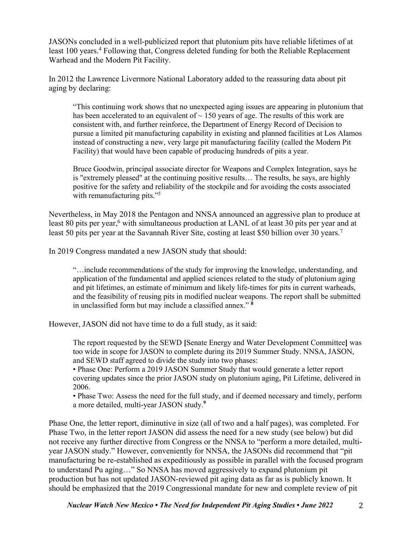JASONs concluded in a well-publicized report that plutonium pits have reliable lifetimes of at least 100 years.<sup>4</sup> Following that, Congress deleted funding for both the Reliable Replacement Warhead and the Modern Pit Facility.

In 2012 the Lawrence Livermore National Laboratory added to the reassuring data about pit aging by declaring:

"This continuing work shows that no unexpected aging issues are appearing in plutonium that has been accelerated to an equivalent of  $\sim$  150 years of age. The results of this work are consistent with, and further reinforce, the Department of Energy Record of Decision to pursue a limited pit manufacturing capability in existing and planned facilities at Los Alamos instead of constructing a new, very large pit manufacturing facility (called the Modern Pit Facility) that would have been capable of producing hundreds of pits a year.

Bruce Goodwin, principal associate director for Weapons and Complex Integration, says he is "extremely pleased" at the continuing positive results… The results, he says, are highly positive for the safety and reliability of the stockpile and for avoiding the costs associated with remanufacturing pits."<sup>5</sup>

Nevertheless, in May 2018 the Pentagon and NNSA announced an aggressive plan to produce at least 80 pits per year,<sup>6</sup> with simultaneous production at LANL of at least 30 pits per year and at least 50 pits per year at the Savannah River Site, costing at least \$50 billion over 30 years.<sup>7</sup>

In 2019 Congress mandated a new JASON study that should:

"…include recommendations of the study for improving the knowledge, understanding, and application of the fundamental and applied sciences related to the study of plutonium aging and pit lifetimes, an estimate of minimum and likely life-times for pits in current warheads, and the feasibility of reusing pits in modified nuclear weapons. The report shall be submitted in unclassified form but may include a classified annex." **<sup>8</sup>**

However, JASON did not have time to do a full study, as it said:

The report requested by the SEWD **[**Senate Energy and Water Development Committee**]** was too wide in scope for JASON to complete during its 2019 Summer Study. NNSA, JASON, and SEWD staff agreed to divide the study into two phases:

• Phase One: Perform a 2019 JASON Summer Study that would generate a letter report covering updates since the prior JASON study on plutonium aging, Pit Lifetime, delivered in 2006.

• Phase Two: Assess the need for the full study, and if deemed necessary and timely, perform a more detailed, multi-year JASON study.**<sup>9</sup>**

Phase One, the letter report, diminutive in size (all of two and a half pages), was completed. For Phase Two, in the letter report JASON did assess the need for a new study (see below) but did not receive any further directive from Congress or the NNSA to "perform a more detailed, multiyear JASON study." However, conveniently for NNSA, the JASONs did recommend that "pit manufacturing be re-established as expeditiously as possible in parallel with the focused program to understand Pu aging…" So NNSA has moved aggressively to expand plutonium pit production but has not updated JASON-reviewed pit aging data as far as is publicly known. It should be emphasized that the 2019 Congressional mandate for new and complete review of pit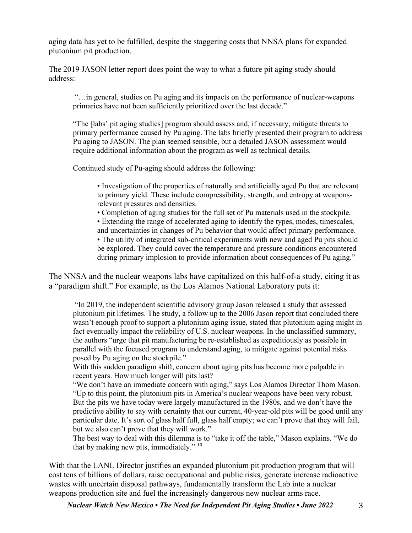aging data has yet to be fulfilled, despite the staggering costs that NNSA plans for expanded plutonium pit production.

The 2019 JASON letter report does point the way to what a future pit aging study should address:

"…in general, studies on Pu aging and its impacts on the performance of nuclear-weapons primaries have not been sufficiently prioritized over the last decade."

"The [labs' pit aging studies] program should assess and, if necessary, mitigate threats to primary performance caused by Pu aging. The labs briefly presented their program to address Pu aging to JASON. The plan seemed sensible, but a detailed JASON assessment would require additional information about the program as well as technical details.

Continued study of Pu-aging should address the following:

• Investigation of the properties of naturally and artificially aged Pu that are relevant to primary yield. These include compressibility, strength, and entropy at weaponsrelevant pressures and densities.

• Completion of aging studies for the full set of Pu materials used in the stockpile. • Extending the range of accelerated aging to identify the types, modes, timescales, and uncertainties in changes of Pu behavior that would affect primary performance.

• The utility of integrated sub-critical experiments with new and aged Pu pits should be explored. They could cover the temperature and pressure conditions encountered during primary implosion to provide information about consequences of Pu aging."

The NNSA and the nuclear weapons labs have capitalized on this half-of-a study, citing it as a "paradigm shift." For example, as the Los Alamos National Laboratory puts it:

"In 2019, the independent scientific advisory group Jason released a study that assessed plutonium pit lifetimes. The study, a follow up to the 2006 Jason report that concluded there wasn't enough proof to support a plutonium aging issue, stated that plutonium aging might in fact eventually impact the reliability of U.S. nuclear weapons. In the unclassified summary, the authors "urge that pit manufacturing be re-established as expeditiously as possible in parallel with the focused program to understand aging, to mitigate against potential risks posed by Pu aging on the stockpile."

With this sudden paradigm shift, concern about aging pits has become more palpable in recent years. How much longer will pits last?

"We don't have an immediate concern with aging," says Los Alamos Director Thom Mason. "Up to this point, the plutonium pits in America's nuclear weapons have been very robust. But the pits we have today were largely manufactured in the 1980s, and we don't have the predictive ability to say with certainty that our current, 40-year-old pits will be good until any particular date. It's sort of glass half full, glass half empty; we can't prove that they will fail, but we also can't prove that they will work."

The best way to deal with this dilemma is to "take it off the table," Mason explains. "We do that by making new pits, immediately."<sup>10</sup>

With that the LANL Director justifies an expanded plutonium pit production program that will cost tens of billions of dollars, raise occupational and public risks, generate increase radioactive wastes with uncertain disposal pathways, fundamentally transform the Lab into a nuclear weapons production site and fuel the increasingly dangerous new nuclear arms race.

*Nuclear Watch New Mexico • The Need for Independent Pit Aging Studies • June 2022* 3